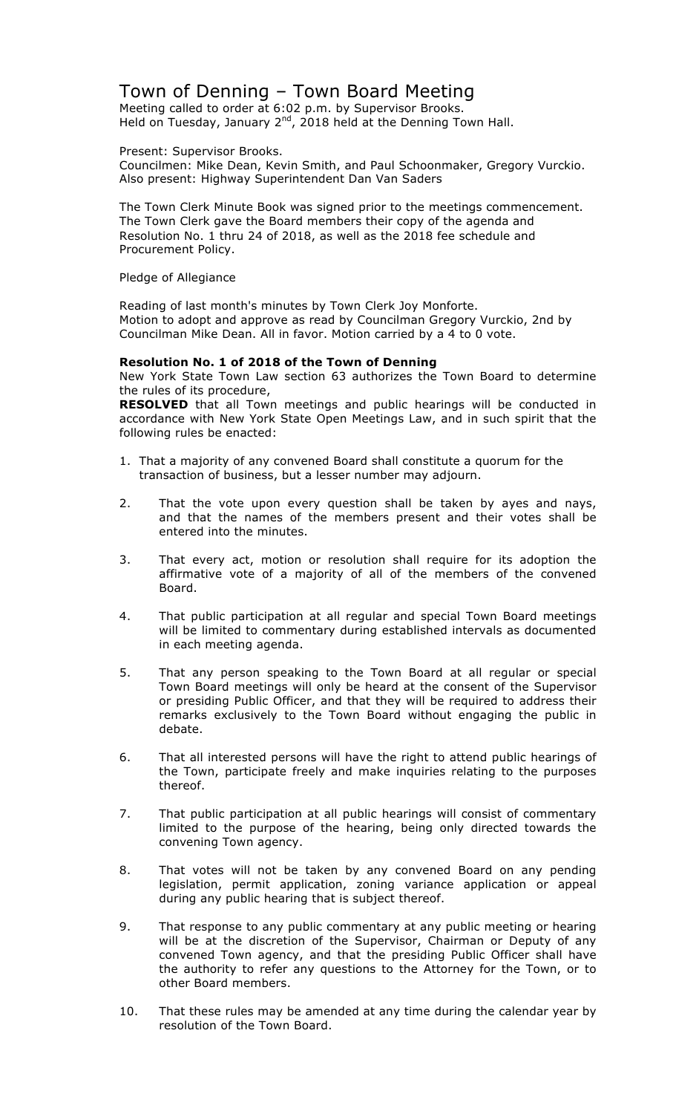# Town of Denning – Town Board Meeting

Meeting called to order at 6:02 p.m. by Supervisor Brooks. Held on Tuesday, January  $2^{nd}$ , 2018 held at the Denning Town Hall.

Present: Supervisor Brooks.

Councilmen: Mike Dean, Kevin Smith, and Paul Schoonmaker, Gregory Vurckio. Also present: Highway Superintendent Dan Van Saders

The Town Clerk Minute Book was signed prior to the meetings commencement. The Town Clerk gave the Board members their copy of the agenda and Resolution No. 1 thru 24 of 2018, as well as the 2018 fee schedule and Procurement Policy.

Pledge of Allegiance

Reading of last month's minutes by Town Clerk Joy Monforte. Motion to adopt and approve as read by Councilman Gregory Vurckio, 2nd by Councilman Mike Dean. All in favor. Motion carried by a 4 to 0 vote.

### **Resolution No. 1 of 2018 of the Town of Denning**

New York State Town Law section 63 authorizes the Town Board to determine the rules of its procedure,

**RESOLVED** that all Town meetings and public hearings will be conducted in accordance with New York State Open Meetings Law, and in such spirit that the following rules be enacted:

- 1. That a majority of any convened Board shall constitute a quorum for the transaction of business, but a lesser number may adjourn.
- 2. That the vote upon every question shall be taken by ayes and nays, and that the names of the members present and their votes shall be entered into the minutes.
- 3. That every act, motion or resolution shall require for its adoption the affirmative vote of a majority of all of the members of the convened Board.
- 4. That public participation at all regular and special Town Board meetings will be limited to commentary during established intervals as documented in each meeting agenda.
- 5. That any person speaking to the Town Board at all regular or special Town Board meetings will only be heard at the consent of the Supervisor or presiding Public Officer, and that they will be required to address their remarks exclusively to the Town Board without engaging the public in debate.
- 6. That all interested persons will have the right to attend public hearings of the Town, participate freely and make inquiries relating to the purposes thereof.
- 7. That public participation at all public hearings will consist of commentary limited to the purpose of the hearing, being only directed towards the convening Town agency.
- 8. That votes will not be taken by any convened Board on any pending legislation, permit application, zoning variance application or appeal during any public hearing that is subject thereof.
- 9. That response to any public commentary at any public meeting or hearing will be at the discretion of the Supervisor, Chairman or Deputy of any convened Town agency, and that the presiding Public Officer shall have the authority to refer any questions to the Attorney for the Town, or to other Board members.
- 10. That these rules may be amended at any time during the calendar year by resolution of the Town Board.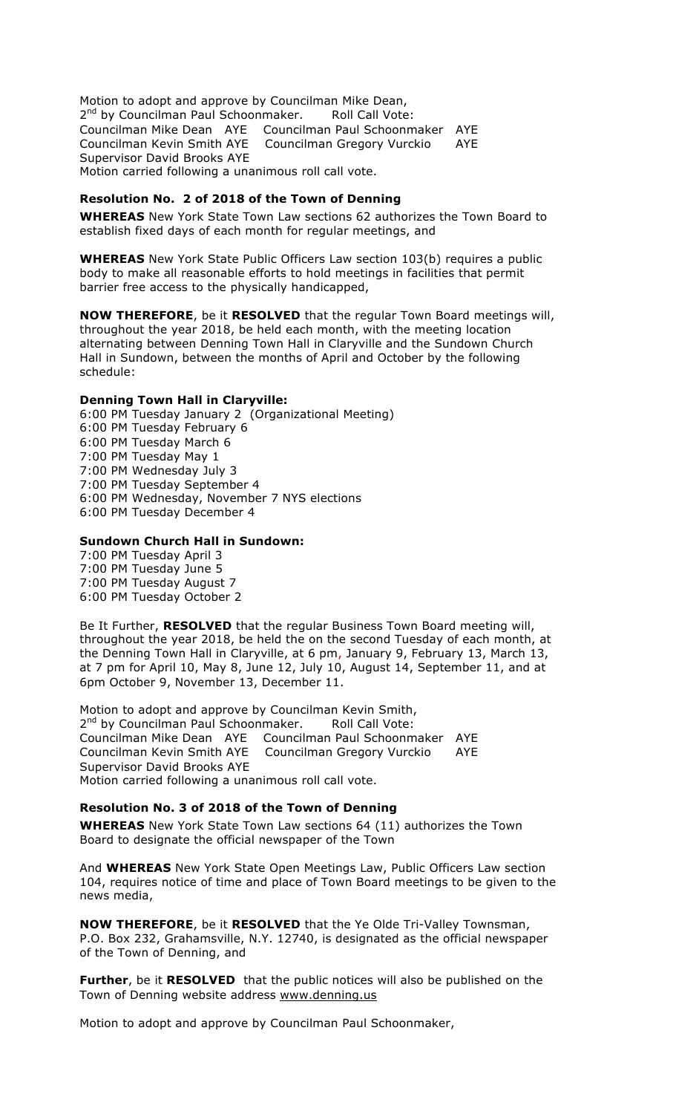Motion to adopt and approve by Councilman Mike Dean, 2<sup>nd</sup> by Councilman Paul Schoonmaker. Roll Call Vote: Councilman Mike Dean AYE Councilman Paul Schoonmaker AYE Councilman Kevin Smith AYE Councilman Gregory Vurckio AYE Supervisor David Brooks AYE Motion carried following a unanimous roll call vote.

### **Resolution No. 2 of 2018 of the Town of Denning**

**WHEREAS** New York State Town Law sections 62 authorizes the Town Board to establish fixed days of each month for regular meetings, and

**WHEREAS** New York State Public Officers Law section 103(b) requires a public body to make all reasonable efforts to hold meetings in facilities that permit barrier free access to the physically handicapped,

**NOW THEREFORE**, be it **RESOLVED** that the regular Town Board meetings will, throughout the year 2018, be held each month, with the meeting location alternating between Denning Town Hall in Claryville and the Sundown Church Hall in Sundown, between the months of April and October by the following schedule:

### **Denning Town Hall in Claryville:**

6:00 PM Tuesday January 2 (Organizational Meeting) 6:00 PM Tuesday February 6 6:00 PM Tuesday March 6 7:00 PM Tuesday May 1 7:00 PM Wednesday July 3 7:00 PM Tuesday September 4 6:00 PM Wednesday, November 7 NYS elections 6:00 PM Tuesday December 4

### **Sundown Church Hall in Sundown:**

7:00 PM Tuesday April 3 7:00 PM Tuesday June 5 7:00 PM Tuesday August 7 6:00 PM Tuesday October 2

Be It Further, **RESOLVED** that the regular Business Town Board meeting will, throughout the year 2018, be held the on the second Tuesday of each month, at the Denning Town Hall in Claryville, at 6 pm, January 9, February 13, March 13, at 7 pm for April 10, May 8, June 12, July 10, August 14, September 11, and at 6pm October 9, November 13, December 11.

Motion to adopt and approve by Councilman Kevin Smith, 2<sup>nd</sup> by Councilman Paul Schoonmaker. Roll Call Vote: Councilman Mike Dean AYE Councilman Paul Schoonmaker AYE Councilman Kevin Smith AYE Councilman Gregory Vurckio AYE Supervisor David Brooks AYE Motion carried following a unanimous roll call vote.

### **Resolution No. 3 of 2018 of the Town of Denning**

**WHEREAS** New York State Town Law sections 64 (11) authorizes the Town Board to designate the official newspaper of the Town

And **WHEREAS** New York State Open Meetings Law, Public Officers Law section 104, requires notice of time and place of Town Board meetings to be given to the news media,

**NOW THEREFORE**, be it **RESOLVED** that the Ye Olde Tri-Valley Townsman, P.O. Box 232, Grahamsville, N.Y. 12740, is designated as the official newspaper of the Town of Denning, and

**Further**, be it **RESOLVED** that the public notices will also be published on the Town of Denning website address www.denning.us

Motion to adopt and approve by Councilman Paul Schoonmaker,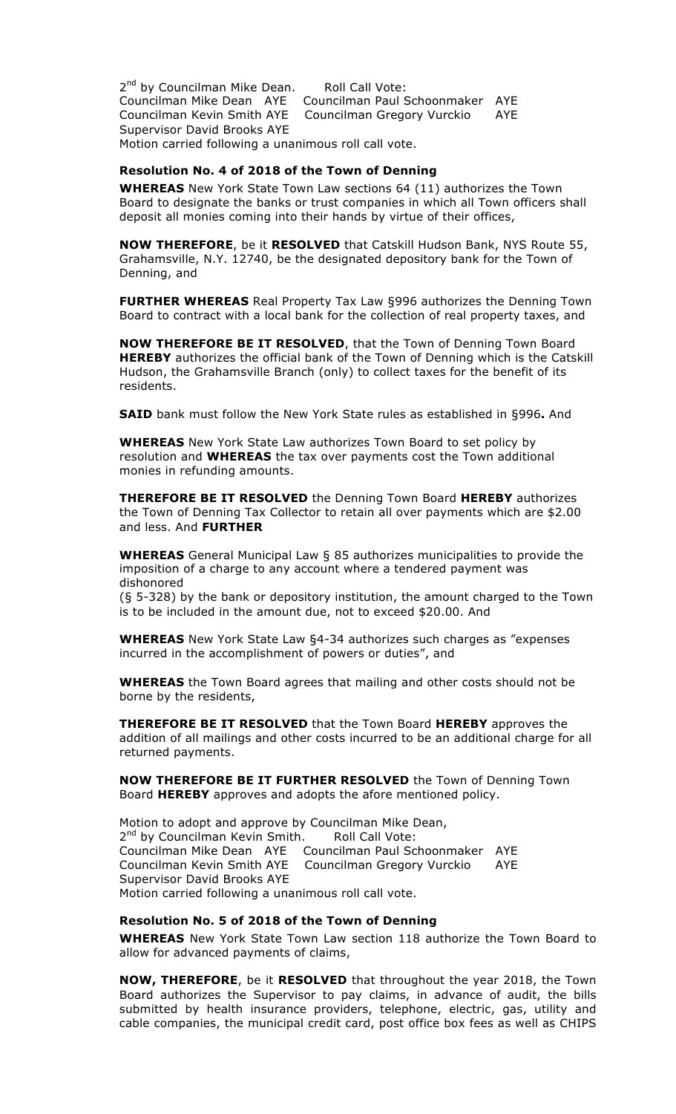2<sup>nd</sup> by Councilman Mike Dean. Roll Call Vote: Councilman Mike Dean AYE Councilman Paul Schoonmaker AYE Councilman Kevin Smith AYE Councilman Gregory Vurckio AYE Supervisor David Brooks AYE Motion carried following a unanimous roll call vote.

#### **Resolution No. 4 of 2018 of the Town of Denning**

**WHEREAS** New York State Town Law sections 64 (11) authorizes the Town Board to designate the banks or trust companies in which all Town officers shall deposit all monies coming into their hands by virtue of their offices,

**NOW THEREFORE**, be it **RESOLVED** that Catskill Hudson Bank, NYS Route 55, Grahamsville, N.Y. 12740, be the designated depository bank for the Town of Denning, and

**FURTHER WHEREAS** Real Property Tax Law §996 authorizes the Denning Town Board to contract with a local bank for the collection of real property taxes, and

**NOW THEREFORE BE IT RESOLVED**, that the Town of Denning Town Board **HEREBY** authorizes the official bank of the Town of Denning which is the Catskill Hudson, the Grahamsville Branch (only) to collect taxes for the benefit of its residents.

**SAID** bank must follow the New York State rules as established in §996**.** And

**WHEREAS** New York State Law authorizes Town Board to set policy by resolution and **WHEREAS** the tax over payments cost the Town additional monies in refunding amounts.

**THEREFORE BE IT RESOLVED** the Denning Town Board **HEREBY** authorizes the Town of Denning Tax Collector to retain all over payments which are \$2.00 and less. And **FURTHER**

**WHEREAS** General Municipal Law § 85 authorizes municipalities to provide the imposition of a charge to any account where a tendered payment was dishonored

(§ 5-328) by the bank or depository institution, the amount charged to the Town is to be included in the amount due, not to exceed \$20.00. And

**WHEREAS** New York State Law §4-34 authorizes such charges as "expenses incurred in the accomplishment of powers or duties", and

**WHEREAS** the Town Board agrees that mailing and other costs should not be borne by the residents,

**THEREFORE BE IT RESOLVED** that the Town Board **HEREBY** approves the addition of all mailings and other costs incurred to be an additional charge for all returned payments.

**NOW THEREFORE BE IT FURTHER RESOLVED** the Town of Denning Town Board **HEREBY** approves and adopts the afore mentioned policy.

Motion to adopt and approve by Councilman Mike Dean, 2<sup>nd</sup> by Councilman Kevin Smith. Roll Call Vote: Councilman Mike Dean AYE Councilman Paul Schoonmaker AYE Councilman Kevin Smith AYE Councilman Gregory Vurckio AYE Supervisor David Brooks AYE Motion carried following a unanimous roll call vote.

#### **Resolution No. 5 of 2018 of the Town of Denning**

**WHEREAS** New York State Town Law section 118 authorize the Town Board to allow for advanced payments of claims,

**NOW, THEREFORE**, be it **RESOLVED** that throughout the year 2018, the Town Board authorizes the Supervisor to pay claims, in advance of audit, the bills submitted by health insurance providers, telephone, electric, gas, utility and cable companies, the municipal credit card, post office box fees as well as CHIPS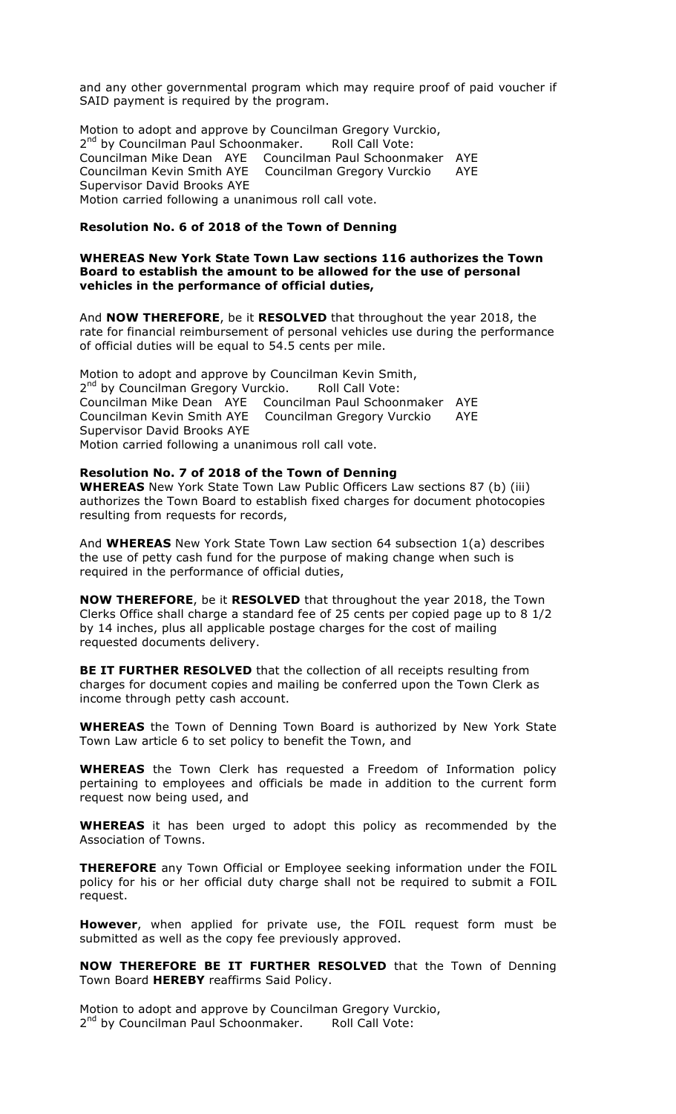and any other governmental program which may require proof of paid voucher if SAID payment is required by the program.

Motion to adopt and approve by Councilman Gregory Vurckio, 2<sup>nd</sup> by Councilman Paul Schoonmaker. Roll Call Vote: Councilman Mike Dean AYE Councilman Paul Schoonmaker AYE Councilman Kevin Smith AYE Councilman Gregory Vurckio AYE Supervisor David Brooks AYE Motion carried following a unanimous roll call vote.

#### **Resolution No. 6 of 2018 of the Town of Denning**

#### **WHEREAS New York State Town Law sections 116 authorizes the Town Board to establish the amount to be allowed for the use of personal vehicles in the performance of official duties,**

And **NOW THEREFORE**, be it **RESOLVED** that throughout the year 2018, the rate for financial reimbursement of personal vehicles use during the performance of official duties will be equal to 54.5 cents per mile.

Motion to adopt and approve by Councilman Kevin Smith, 2<sup>nd</sup> by Councilman Gregory Vurckio. Roll Call Vote: Councilman Mike Dean AYE Councilman Paul Schoonmaker AYE Councilman Kevin Smith AYE Councilman Gregory Vurckio AYE Supervisor David Brooks AYE Motion carried following a unanimous roll call vote.

#### **Resolution No. 7 of 2018 of the Town of Denning**

**WHEREAS** New York State Town Law Public Officers Law sections 87 (b) (iii) authorizes the Town Board to establish fixed charges for document photocopies resulting from requests for records,

And **WHEREAS** New York State Town Law section 64 subsection 1(a) describes the use of petty cash fund for the purpose of making change when such is required in the performance of official duties,

**NOW THEREFORE**, be it **RESOLVED** that throughout the year 2018, the Town Clerks Office shall charge a standard fee of 25 cents per copied page up to 8 1/2 by 14 inches, plus all applicable postage charges for the cost of mailing requested documents delivery.

**BE IT FURTHER RESOLVED** that the collection of all receipts resulting from charges for document copies and mailing be conferred upon the Town Clerk as income through petty cash account.

**WHEREAS** the Town of Denning Town Board is authorized by New York State Town Law article 6 to set policy to benefit the Town, and

**WHEREAS** the Town Clerk has requested a Freedom of Information policy pertaining to employees and officials be made in addition to the current form request now being used, and

**WHEREAS** it has been urged to adopt this policy as recommended by the Association of Towns.

**THEREFORE** any Town Official or Employee seeking information under the FOIL policy for his or her official duty charge shall not be required to submit a FOIL request.

**However**, when applied for private use, the FOIL request form must be submitted as well as the copy fee previously approved.

**NOW THEREFORE BE IT FURTHER RESOLVED** that the Town of Denning Town Board **HEREBY** reaffirms Said Policy.

Motion to adopt and approve by Councilman Gregory Vurckio, 2<sup>nd</sup> by Councilman Paul Schoonmaker. Roll Call Vote: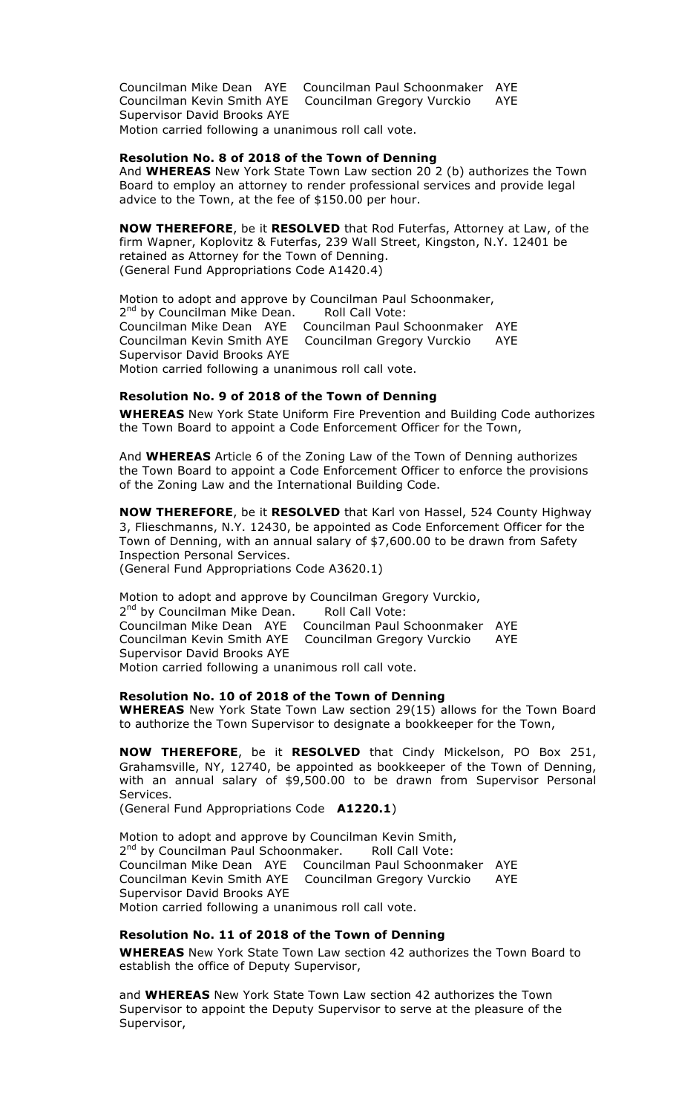Councilman Mike Dean AYE Councilman Paul Schoonmaker AYE Councilman Kevin Smith AYE Councilman Gregory Vurckio AYE Supervisor David Brooks AYE Motion carried following a unanimous roll call vote.

### **Resolution No. 8 of 2018 of the Town of Denning**

And **WHEREAS** New York State Town Law section 20 2 (b) authorizes the Town Board to employ an attorney to render professional services and provide legal advice to the Town, at the fee of \$150.00 per hour.

**NOW THEREFORE**, be it **RESOLVED** that Rod Futerfas, Attorney at Law, of the firm Wapner, Koplovitz & Futerfas, 239 Wall Street, Kingston, N.Y. 12401 be retained as Attorney for the Town of Denning. (General Fund Appropriations Code A1420.4)

Motion to adopt and approve by Councilman Paul Schoonmaker, 2<sup>nd</sup> by Councilman Mike Dean. Roll Call Vote: Councilman Mike Dean AYE Councilman Paul Schoonmaker AYE Councilman Kevin Smith AYE Councilman Gregory Vurckio AYE Supervisor David Brooks AYE Motion carried following a unanimous roll call vote.

#### **Resolution No. 9 of 2018 of the Town of Denning**

**WHEREAS** New York State Uniform Fire Prevention and Building Code authorizes the Town Board to appoint a Code Enforcement Officer for the Town,

And **WHEREAS** Article 6 of the Zoning Law of the Town of Denning authorizes the Town Board to appoint a Code Enforcement Officer to enforce the provisions of the Zoning Law and the International Building Code.

**NOW THEREFORE**, be it **RESOLVED** that Karl von Hassel, 524 County Highway 3, Flieschmanns, N.Y. 12430, be appointed as Code Enforcement Officer for the Town of Denning, with an annual salary of \$7,600.00 to be drawn from Safety Inspection Personal Services. (General Fund Appropriations Code A3620.1)

Motion to adopt and approve by Councilman Gregory Vurckio, 2<sup>nd</sup> by Councilman Mike Dean. Roll Call Vote: Councilman Mike Dean AYE Councilman Paul Schoonmaker AYE Councilman Kevin Smith AYE Councilman Gregory Vurckio AYE Supervisor David Brooks AYE Motion carried following a unanimous roll call vote.

#### **Resolution No. 10 of 2018 of the Town of Denning**

**WHEREAS** New York State Town Law section 29(15) allows for the Town Board to authorize the Town Supervisor to designate a bookkeeper for the Town,

**NOW THEREFORE**, be it **RESOLVED** that Cindy Mickelson, PO Box 251, Grahamsville, NY, 12740, be appointed as bookkeeper of the Town of Denning, with an annual salary of \$9,500.00 to be drawn from Supervisor Personal Services.

(General Fund Appropriations Code **A1220.1**)

Motion to adopt and approve by Councilman Kevin Smith, 2<sup>nd</sup> by Councilman Paul Schoonmaker. Roll Call Vote: Councilman Mike Dean AYE Councilman Paul Schoonmaker AYE Councilman Kevin Smith AYE Councilman Gregory Vurckio AYE Supervisor David Brooks AYE Motion carried following a unanimous roll call vote.

#### **Resolution No. 11 of 2018 of the Town of Denning**

**WHEREAS** New York State Town Law section 42 authorizes the Town Board to establish the office of Deputy Supervisor,

and **WHEREAS** New York State Town Law section 42 authorizes the Town Supervisor to appoint the Deputy Supervisor to serve at the pleasure of the Supervisor,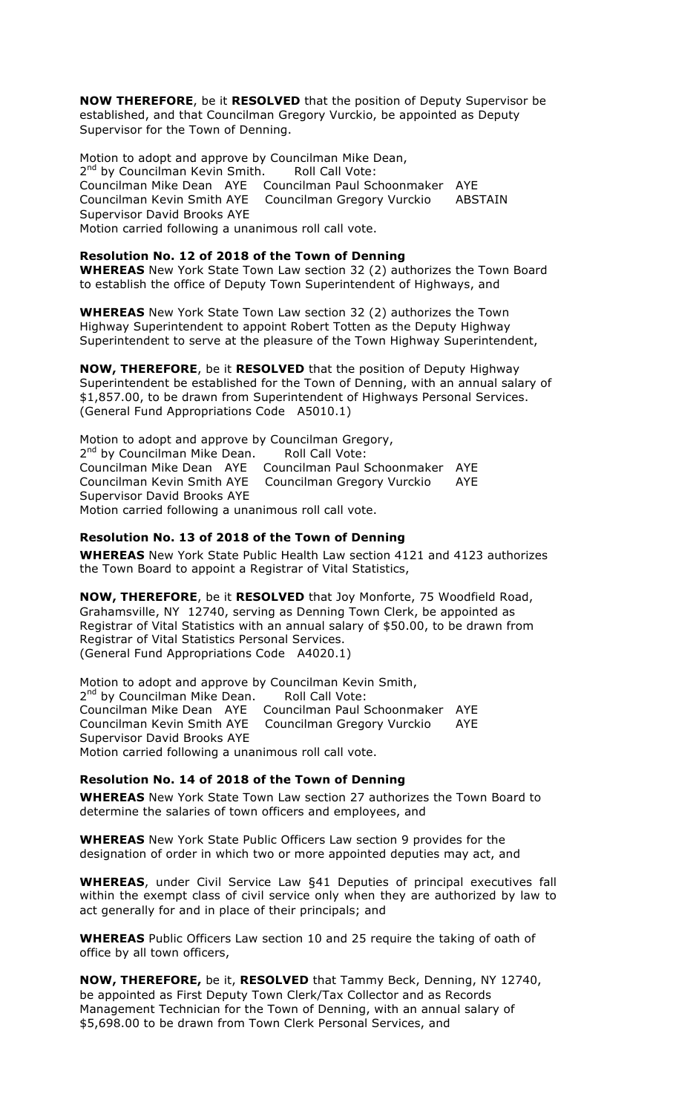**NOW THEREFORE**, be it **RESOLVED** that the position of Deputy Supervisor be established, and that Councilman Gregory Vurckio, be appointed as Deputy Supervisor for the Town of Denning.

Motion to adopt and approve by Councilman Mike Dean, 2<sup>nd</sup> by Councilman Kevin Smith. Roll Call Vote: Councilman Mike Dean AYE Councilman Paul Schoonmaker AYE Councilman Kevin Smith AYE Councilman Gregory Vurckio ABSTAIN Supervisor David Brooks AYE Motion carried following a unanimous roll call vote.

#### **Resolution No. 12 of 2018 of the Town of Denning**

**WHEREAS** New York State Town Law section 32 (2) authorizes the Town Board to establish the office of Deputy Town Superintendent of Highways, and

**WHEREAS** New York State Town Law section 32 (2) authorizes the Town Highway Superintendent to appoint Robert Totten as the Deputy Highway Superintendent to serve at the pleasure of the Town Highway Superintendent,

**NOW, THEREFORE**, be it **RESOLVED** that the position of Deputy Highway Superintendent be established for the Town of Denning, with an annual salary of \$1,857.00, to be drawn from Superintendent of Highways Personal Services. (General Fund Appropriations Code A5010.1)

Motion to adopt and approve by Councilman Gregory, 2<sup>nd</sup> by Councilman Mike Dean. Roll Call Vote: Councilman Mike Dean AYE Councilman Paul Schoonmaker AYE Councilman Kevin Smith AYE Councilman Gregory Vurckio AYE Councilman Kevin Smith AYE<br>Supervisor David Brooks AYE Motion carried following a unanimous roll call vote.

#### **Resolution No. 13 of 2018 of the Town of Denning**

**WHEREAS** New York State Public Health Law section 4121 and 4123 authorizes the Town Board to appoint a Registrar of Vital Statistics,

**NOW, THEREFORE**, be it **RESOLVED** that Joy Monforte, 75 Woodfield Road, Grahamsville, NY 12740, serving as Denning Town Clerk, be appointed as Registrar of Vital Statistics with an annual salary of \$50.00, to be drawn from Registrar of Vital Statistics Personal Services. (General Fund Appropriations Code A4020.1)

Motion to adopt and approve by Councilman Kevin Smith, 2<sup>nd</sup> by Councilman Mike Dean. Roll Call Vote: Councilman Mike Dean AYE Councilman Paul Schoonmaker AYE Councilman Kevin Smith AYE Councilman Gregory Vurckio AYE Supervisor David Brooks AYE Motion carried following a unanimous roll call vote.

#### **Resolution No. 14 of 2018 of the Town of Denning**

**WHEREAS** New York State Town Law section 27 authorizes the Town Board to determine the salaries of town officers and employees, and

**WHEREAS** New York State Public Officers Law section 9 provides for the designation of order in which two or more appointed deputies may act, and

**WHEREAS**, under Civil Service Law §41 Deputies of principal executives fall within the exempt class of civil service only when they are authorized by law to act generally for and in place of their principals; and

**WHEREAS** Public Officers Law section 10 and 25 require the taking of oath of office by all town officers,

**NOW, THEREFORE,** be it, **RESOLVED** that Tammy Beck, Denning, NY 12740, be appointed as First Deputy Town Clerk/Tax Collector and as Records Management Technician for the Town of Denning, with an annual salary of \$5,698.00 to be drawn from Town Clerk Personal Services, and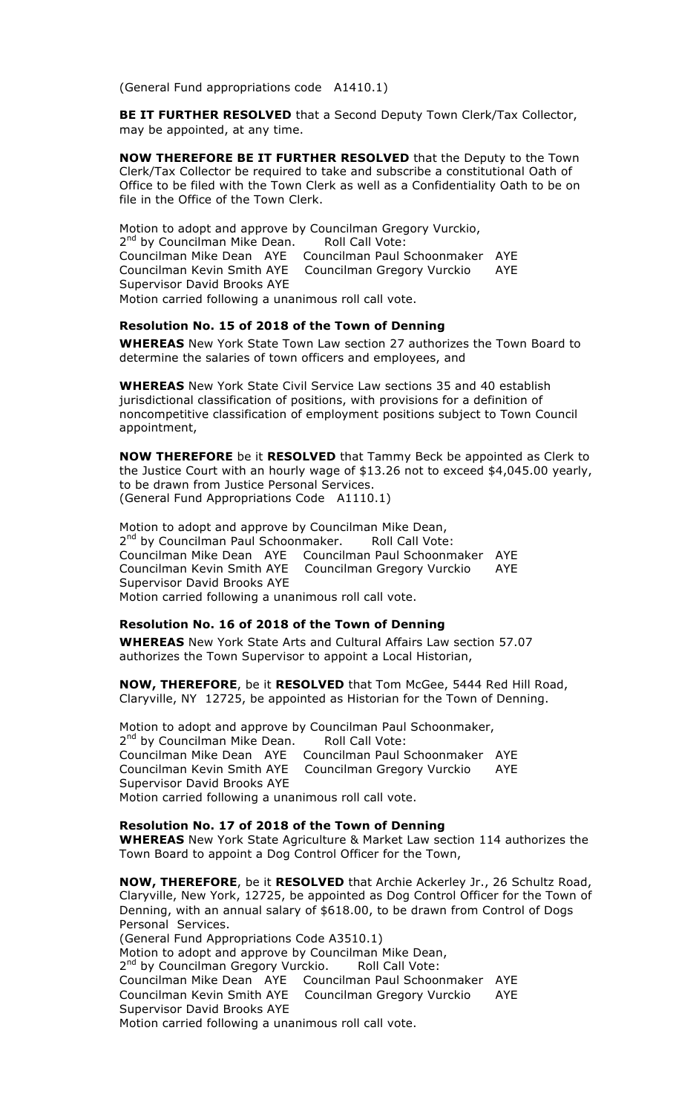(General Fund appropriations code A1410.1)

**BE IT FURTHER RESOLVED** that a Second Deputy Town Clerk/Tax Collector, may be appointed, at any time.

**NOW THEREFORE BE IT FURTHER RESOLVED** that the Deputy to the Town Clerk/Tax Collector be required to take and subscribe a constitutional Oath of Office to be filed with the Town Clerk as well as a Confidentiality Oath to be on file in the Office of the Town Clerk.

Motion to adopt and approve by Councilman Gregory Vurckio, 2<sup>nd</sup> by Councilman Mike Dean. Roll Call Vote: Councilman Mike Dean AYE Councilman Paul Schoonmaker AYE Councilman Kevin Smith AYE Councilman Gregory Vurckio AYE Supervisor David Brooks AYE Motion carried following a unanimous roll call vote.

#### **Resolution No. 15 of 2018 of the Town of Denning**

**WHEREAS** New York State Town Law section 27 authorizes the Town Board to determine the salaries of town officers and employees, and

**WHEREAS** New York State Civil Service Law sections 35 and 40 establish jurisdictional classification of positions, with provisions for a definition of noncompetitive classification of employment positions subject to Town Council appointment,

**NOW THEREFORE** be it **RESOLVED** that Tammy Beck be appointed as Clerk to the Justice Court with an hourly wage of \$13.26 not to exceed \$4,045.00 yearly, to be drawn from Justice Personal Services. (General Fund Appropriations Code A1110.1)

Motion to adopt and approve by Councilman Mike Dean, 2<sup>nd</sup> by Councilman Paul Schoonmaker. Roll Call Vote: Councilman Mike Dean AYE Councilman Paul Schoonmaker AYE Councilman Kevin Smith AYE Councilman Gregory Vurckio AYE Supervisor David Brooks AYE Motion carried following a unanimous roll call vote.

### **Resolution No. 16 of 2018 of the Town of Denning**

**WHEREAS** New York State Arts and Cultural Affairs Law section 57.07 authorizes the Town Supervisor to appoint a Local Historian,

**NOW, THEREFORE**, be it **RESOLVED** that Tom McGee, 5444 Red Hill Road, Claryville, NY 12725, be appointed as Historian for the Town of Denning.

Motion to adopt and approve by Councilman Paul Schoonmaker, 2<sup>nd</sup> by Councilman Mike Dean. Roll Call Vote: Councilman Mike Dean AYE Councilman Paul Schoonmaker AYE Councilman Kevin Smith AYE Councilman Gregory Vurckio AYE Supervisor David Brooks AYE Motion carried following a unanimous roll call vote.

### **Resolution No. 17 of 2018 of the Town of Denning**

**WHEREAS** New York State Agriculture & Market Law section 114 authorizes the Town Board to appoint a Dog Control Officer for the Town,

**NOW, THEREFORE**, be it **RESOLVED** that Archie Ackerley Jr., 26 Schultz Road, Claryville, New York, 12725, be appointed as Dog Control Officer for the Town of Denning, with an annual salary of \$618.00, to be drawn from Control of Dogs Personal Services. (General Fund Appropriations Code A3510.1) Motion to adopt and approve by Councilman Mike Dean, 2<sup>nd</sup> by Councilman Gregory Vurckio. Roll Call Vote: Councilman Mike Dean AYE Councilman Paul Schoonmaker AYE Councilman Kevin Smith AYE Councilman Gregory Vurckio AYE Supervisor David Brooks AYE Motion carried following a unanimous roll call vote.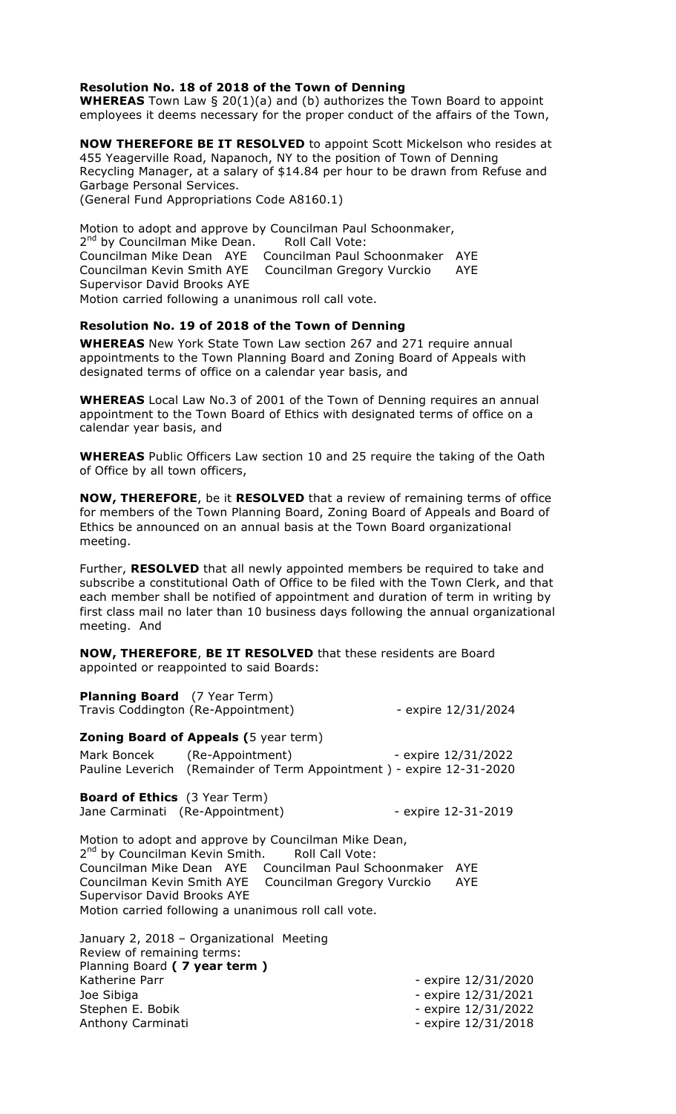#### **Resolution No. 18 of 2018 of the Town of Denning**

**WHEREAS** Town Law § 20(1)(a) and (b) authorizes the Town Board to appoint employees it deems necessary for the proper conduct of the affairs of the Town,

**NOW THEREFORE BE IT RESOLVED** to appoint Scott Mickelson who resides at 455 Yeagerville Road, Napanoch, NY to the position of Town of Denning Recycling Manager, at a salary of \$14.84 per hour to be drawn from Refuse and Garbage Personal Services. (General Fund Appropriations Code A8160.1)

Motion to adopt and approve by Councilman Paul Schoonmaker, 2<sup>nd</sup> by Councilman Mike Dean. Roll Call Vote: Councilman Mike Dean AYE Councilman Paul Schoonmaker AYE Councilman Kevin Smith AYE Councilman Gregory Vurckio AYE Supervisor David Brooks AYE Motion carried following a unanimous roll call vote.

#### **Resolution No. 19 of 2018 of the Town of Denning**

**WHEREAS** New York State Town Law section 267 and 271 require annual appointments to the Town Planning Board and Zoning Board of Appeals with designated terms of office on a calendar year basis, and

**WHEREAS** Local Law No.3 of 2001 of the Town of Denning requires an annual appointment to the Town Board of Ethics with designated terms of office on a calendar year basis, and

**WHEREAS** Public Officers Law section 10 and 25 require the taking of the Oath of Office by all town officers,

**NOW, THEREFORE**, be it **RESOLVED** that a review of remaining terms of office for members of the Town Planning Board, Zoning Board of Appeals and Board of Ethics be announced on an annual basis at the Town Board organizational meeting.

Further, **RESOLVED** that all newly appointed members be required to take and subscribe a constitutional Oath of Office to be filed with the Town Clerk, and that each member shall be notified of appointment and duration of term in writing by first class mail no later than 10 business days following the annual organizational meeting. And

**NOW, THEREFORE**, **BE IT RESOLVED** that these residents are Board appointed or reappointed to said Boards:

| <b>Planning Board</b> (7 Year Term)<br>Travis Coddington (Re-Appointment)    |                                                                                                                                                                                                                                                                                                 | - expire $12/31/2024$ |
|------------------------------------------------------------------------------|-------------------------------------------------------------------------------------------------------------------------------------------------------------------------------------------------------------------------------------------------------------------------------------------------|-----------------------|
| <b>Zoning Board of Appeals (5 year term)</b><br>Mark Boncek (Re-Appointment) |                                                                                                                                                                                                                                                                                                 | - expire 12/31/2022   |
|                                                                              | Pauline Leverich (Remainder of Term Appointment) - expire 12-31-2020                                                                                                                                                                                                                            |                       |
| <b>Board of Ethics</b> (3 Year Term)<br>Jane Carminati (Re-Appointment)      |                                                                                                                                                                                                                                                                                                 | - expire 12-31-2019   |
| <b>Supervisor David Brooks AYE</b>                                           | Motion to adopt and approve by Councilman Mike Dean,<br>2 <sup>nd</sup> by Councilman Kevin Smith. Roll Call Vote:<br>Councilman Mike Dean AYE Councilman Paul Schoonmaker AYE<br>Councilman Kevin Smith AYE Councilman Gregory Vurckio<br>Motion carried following a unanimous roll call vote. | AYE                   |
| January 2, 2018 - Organizational Meeting                                     |                                                                                                                                                                                                                                                                                                 |                       |

Review of remaining terms: Planning Board **( 7 year term )** Katherine Parr **- Expire 12/31/2020** Joe Sibiga - expire 12/31/2021 Stephen E. Bobik - expire 12/31/2022 Anthony Carminati **Anthony Carminati** - expire 12/31/2018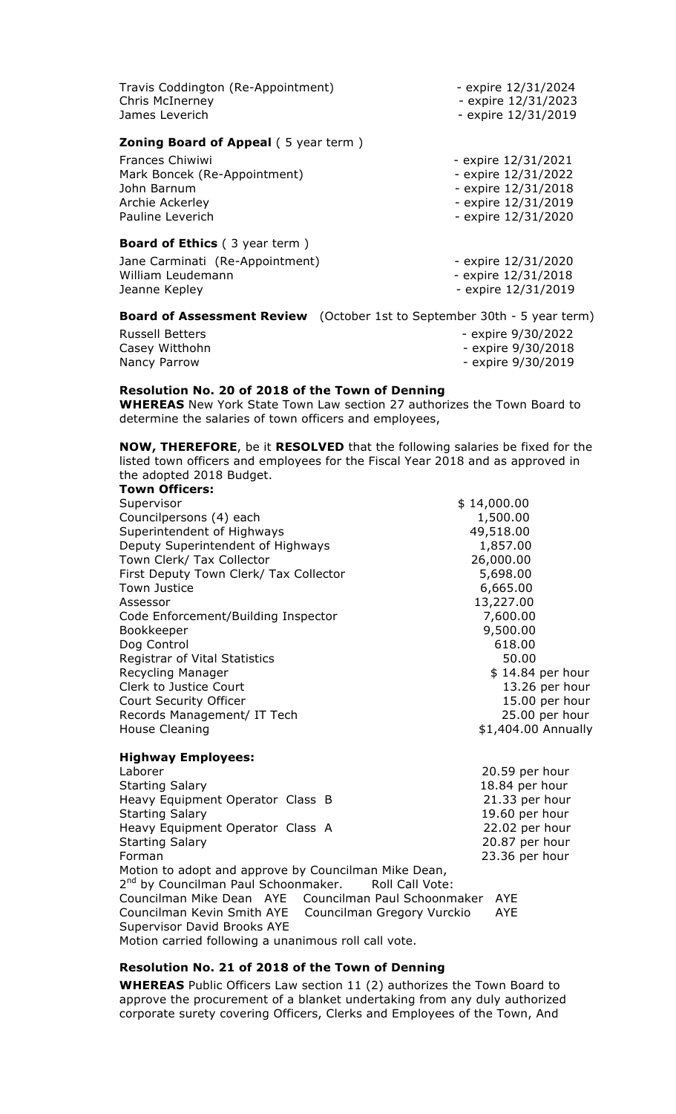| Travis Coddington (Re-Appointment)<br>Chris McInerney<br>James Leverich         | - expire 12/31/2024<br>- expire 12/31/2023<br>- expire 12/31/2019 |
|---------------------------------------------------------------------------------|-------------------------------------------------------------------|
| <b>Zoning Board of Appeal (5 year term)</b>                                     |                                                                   |
| <b>Frances Chiwiwi</b>                                                          | - expire 12/31/2021                                               |
| Mark Boncek (Re-Appointment)                                                    | - expire 12/31/2022                                               |
| John Barnum                                                                     | - expire 12/31/2018                                               |
| Archie Ackerley                                                                 | - expire 12/31/2019                                               |
| Pauline Leverich                                                                | - expire 12/31/2020                                               |
| <b>Board of Ethics</b> (3 year term)                                            |                                                                   |
| Jane Carminati (Re-Appointment)                                                 | - expire 12/31/2020                                               |
| William Leudemann                                                               | - expire 12/31/2018                                               |
| Jeanne Kepley                                                                   | - expire 12/31/2019                                               |
| <b>Board of Assessment Review</b> (October 1st to September 30th - 5 year term) |                                                                   |
| <b>Russell Betters</b>                                                          | - expire 9/30/2022                                                |
| Casey Witthohn                                                                  | - expire 9/30/2018                                                |

Nancy Parrow **- Expire 9/30/2019** 

### **Resolution No. 20 of 2018 of the Town of Denning**

**WHEREAS** New York State Town Law section 27 authorizes the Town Board to determine the salaries of town officers and employees,

**NOW, THEREFORE**, be it **RESOLVED** that the following salaries be fixed for the listed town officers and employees for the Fiscal Year 2018 and as approved in the adopted 2018 Budget. **Town Officers:**

| TUWII UITILEIS.                        |                     |
|----------------------------------------|---------------------|
| Supervisor                             | \$14,000.00         |
| Councilpersons (4) each                | 1,500.00            |
| Superintendent of Highways             | 49,518.00           |
| Deputy Superintendent of Highways      | 1,857.00            |
| Town Clerk/ Tax Collector              | 26,000.00           |
| First Deputy Town Clerk/ Tax Collector | 5,698.00            |
| <b>Town Justice</b>                    | 6,665.00            |
| Assessor                               | 13,227.00           |
| Code Enforcement/Building Inspector    | 7,600.00            |
| Bookkeeper                             | 9,500.00            |
| Dog Control                            | 618.00              |
| <b>Registrar of Vital Statistics</b>   | 50.00               |
| Recycling Manager                      | \$14.84 per hour    |
| Clerk to Justice Court                 | 13.26 per hour      |
| Court Security Officer                 | 15.00 per hour      |
| Records Management/ IT Tech            | 25.00 per hour      |
| House Cleaning                         | \$1,404.00 Annually |
| <b>Highway Employees:</b>              |                     |
| Laborer                                | 20.59 per hour      |
| <b>Starting Salary</b>                 | 18.84 per hour      |

Heavy Equipment Operator Class B 21.33 per hour Starting Salary 19.60 per hour Heavy Equipment Operator Class A 22.02 per hour Starting Salary 20.87 per hour Forman 23.36 per hour Motion to adopt and approve by Councilman Mike Dean, 2<sup>nd</sup> by Councilman Paul Schoonmaker. Roll Call Vote: Councilman Mike Dean AYE Councilman Paul Schoonmaker AYE Councilman Kevin Smith AYE Councilman Gregory Vurckio AYE Supervisor David Brooks AYE Motion carried following a unanimous roll call vote.

#### **Resolution No. 21 of 2018 of the Town of Denning**

**WHEREAS** Public Officers Law section 11 (2) authorizes the Town Board to approve the procurement of a blanket undertaking from any duly authorized corporate surety covering Officers, Clerks and Employees of the Town, And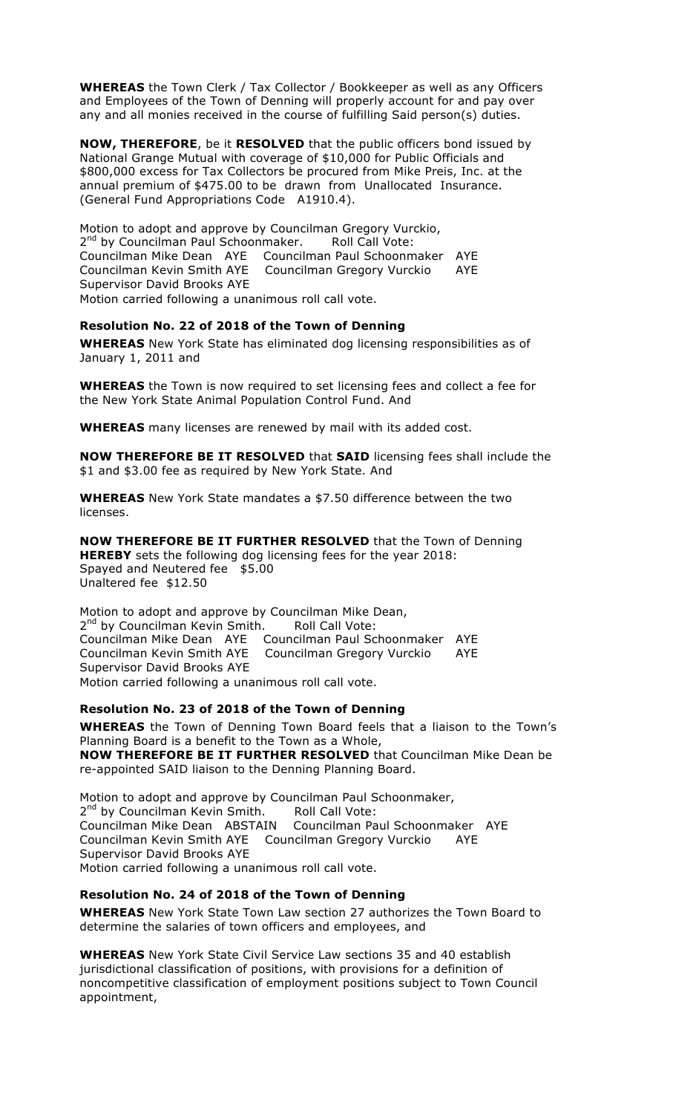**WHEREAS** the Town Clerk / Tax Collector / Bookkeeper as well as any Officers and Employees of the Town of Denning will properly account for and pay over any and all monies received in the course of fulfilling Said person(s) duties.

**NOW, THEREFORE**, be it **RESOLVED** that the public officers bond issued by National Grange Mutual with coverage of \$10,000 for Public Officials and \$800,000 excess for Tax Collectors be procured from Mike Preis, Inc. at the annual premium of \$475.00 to be drawn from Unallocated Insurance. (General Fund Appropriations Code A1910.4).

Motion to adopt and approve by Councilman Gregory Vurckio, 2<sup>nd</sup> by Councilman Paul Schoonmaker. Roll Call Vote: Councilman Mike Dean AYE Councilman Paul Schoonmaker AYE Councilman Kevin Smith AYE Councilman Gregory Vurckio AYE Supervisor David Brooks AYE Motion carried following a unanimous roll call vote.

### **Resolution No. 22 of 2018 of the Town of Denning**

**WHEREAS** New York State has eliminated dog licensing responsibilities as of January 1, 2011 and

**WHEREAS** the Town is now required to set licensing fees and collect a fee for the New York State Animal Population Control Fund. And

**WHEREAS** many licenses are renewed by mail with its added cost.

**NOW THEREFORE BE IT RESOLVED** that **SAID** licensing fees shall include the \$1 and \$3.00 fee as required by New York State. And

**WHEREAS** New York State mandates a \$7.50 difference between the two licenses.

**NOW THEREFORE BE IT FURTHER RESOLVED** that the Town of Denning **HEREBY** sets the following dog licensing fees for the year 2018: Spayed and Neutered fee \$5.00 Unaltered fee \$12.50

Motion to adopt and approve by Councilman Mike Dean, 2<sup>nd</sup> by Councilman Kevin Smith. Roll Call Vote: Councilman Mike Dean AYE Councilman Paul Schoonmaker AYE Councilman Kevin Smith AYE Councilman Gregory Vurckio AYE Supervisor David Brooks AYE Motion carried following a unanimous roll call vote.

### **Resolution No. 23 of 2018 of the Town of Denning**

**WHEREAS** the Town of Denning Town Board feels that a liaison to the Town's Planning Board is a benefit to the Town as a Whole, **NOW THEREFORE BE IT FURTHER RESOLVED** that Councilman Mike Dean be re-appointed SAID liaison to the Denning Planning Board.

Motion to adopt and approve by Councilman Paul Schoonmaker, 2<sup>nd</sup> by Councilman Kevin Smith. Roll Call Vote: Councilman Mike Dean ABSTAIN Councilman Paul Schoonmaker AYE Councilman Kevin Smith AYE Councilman Gregory Vurckio AYE Supervisor David Brooks AYE Motion carried following a unanimous roll call vote.

### **Resolution No. 24 of 2018 of the Town of Denning**

**WHEREAS** New York State Town Law section 27 authorizes the Town Board to determine the salaries of town officers and employees, and

**WHEREAS** New York State Civil Service Law sections 35 and 40 establish jurisdictional classification of positions, with provisions for a definition of noncompetitive classification of employment positions subject to Town Council appointment,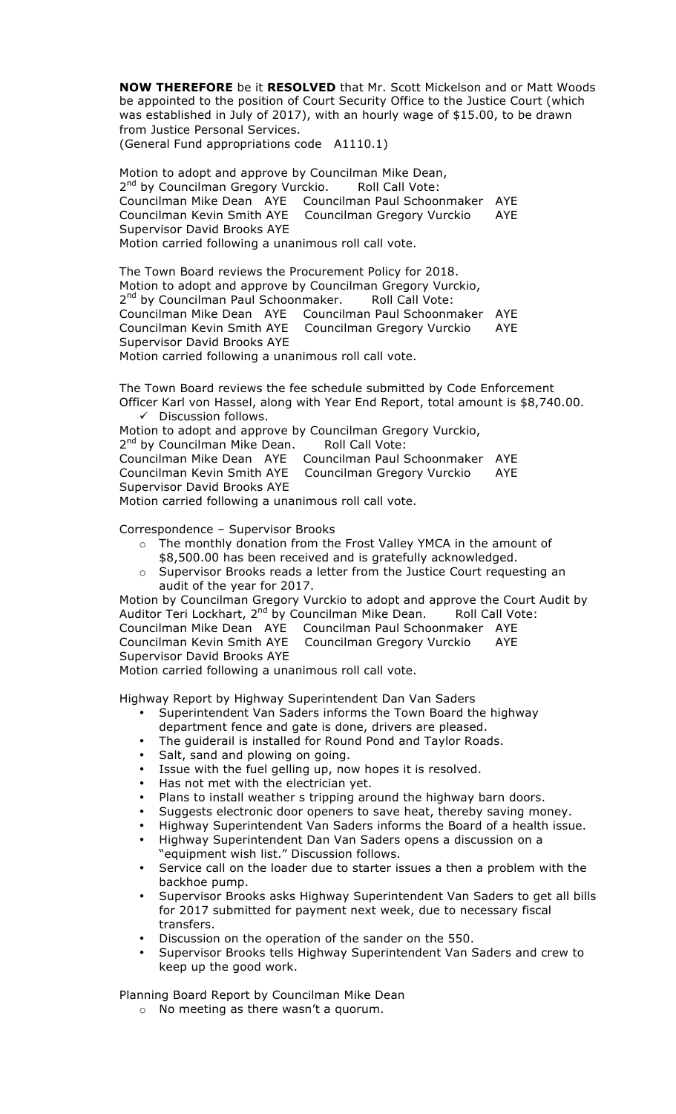**NOW THEREFORE** be it **RESOLVED** that Mr. Scott Mickelson and or Matt Woods be appointed to the position of Court Security Office to the Justice Court (which was established in July of 2017), with an hourly wage of \$15.00, to be drawn from Justice Personal Services. (General Fund appropriations code A1110.1)

Motion to adopt and approve by Councilman Mike Dean, 2<sup>nd</sup> by Councilman Gregory Vurckio. Roll Call Vote: Councilman Mike Dean AYE Councilman Paul Schoonmaker AYE Councilman Kevin Smith AYE Councilman Gregory Vurckio AYE Supervisor David Brooks AYE Motion carried following a unanimous roll call vote.

The Town Board reviews the Procurement Policy for 2018. Motion to adopt and approve by Councilman Gregory Vurckio, 2<sup>nd</sup> by Councilman Paul Schoonmaker. Roll Call Vote: Councilman Mike Dean AYE Councilman Paul Schoonmaker AYE Councilman Gregory Vurckio AYE Supervisor David Brooks AYE Motion carried following a unanimous roll call vote.

The Town Board reviews the fee schedule submitted by Code Enforcement Officer Karl von Hassel, along with Year End Report, total amount is \$8,740.00.  $\checkmark$  Discussion follows.

Motion to adopt and approve by Councilman Gregory Vurckio, 2<sup>nd</sup> by Councilman Mike Dean. Roll Call Vote: Councilman Mike Dean AYE Councilman Paul Schoonmaker AYE Councilman Kevin Smith AYE Councilman Gregory Vurckio AYE Supervisor David Brooks AYE Motion carried following a unanimous roll call vote.

Correspondence – Supervisor Brooks

- o The monthly donation from the Frost Valley YMCA in the amount of \$8,500.00 has been received and is gratefully acknowledged.
- $\circ$  Supervisor Brooks reads a letter from the Justice Court requesting an audit of the year for 2017.

Motion by Councilman Gregory Vurckio to adopt and approve the Court Audit by Auditor Teri Lockhart, 2<sup>nd</sup> by Councilman Mike Dean. <sup>Noul</sup> Call Vote: Councilman Mike Dean AYE Councilman Paul Schoonmaker AYE Councilman Kevin Smith AYE Councilman Gregory Vurckio AYE Supervisor David Brooks AYE

Motion carried following a unanimous roll call vote.

Highway Report by Highway Superintendent Dan Van Saders

- Superintendent Van Saders informs the Town Board the highway department fence and gate is done, drivers are pleased.
- The guiderail is installed for Round Pond and Taylor Roads.
- Salt, sand and plowing on going.
- Issue with the fuel gelling up, now hopes it is resolved.
- Has not met with the electrician yet.
- Plans to install weather s tripping around the highway barn doors.
- Suggests electronic door openers to save heat, thereby saving money.
- Highway Superintendent Van Saders informs the Board of a health issue.
- Highway Superintendent Dan Van Saders opens a discussion on a "equipment wish list." Discussion follows.
- Service call on the loader due to starter issues a then a problem with the backhoe pump.
- Supervisor Brooks asks Highway Superintendent Van Saders to get all bills for 2017 submitted for payment next week, due to necessary fiscal transfers.
- Discussion on the operation of the sander on the 550.
- Supervisor Brooks tells Highway Superintendent Van Saders and crew to keep up the good work.

Planning Board Report by Councilman Mike Dean

o No meeting as there wasn't a quorum.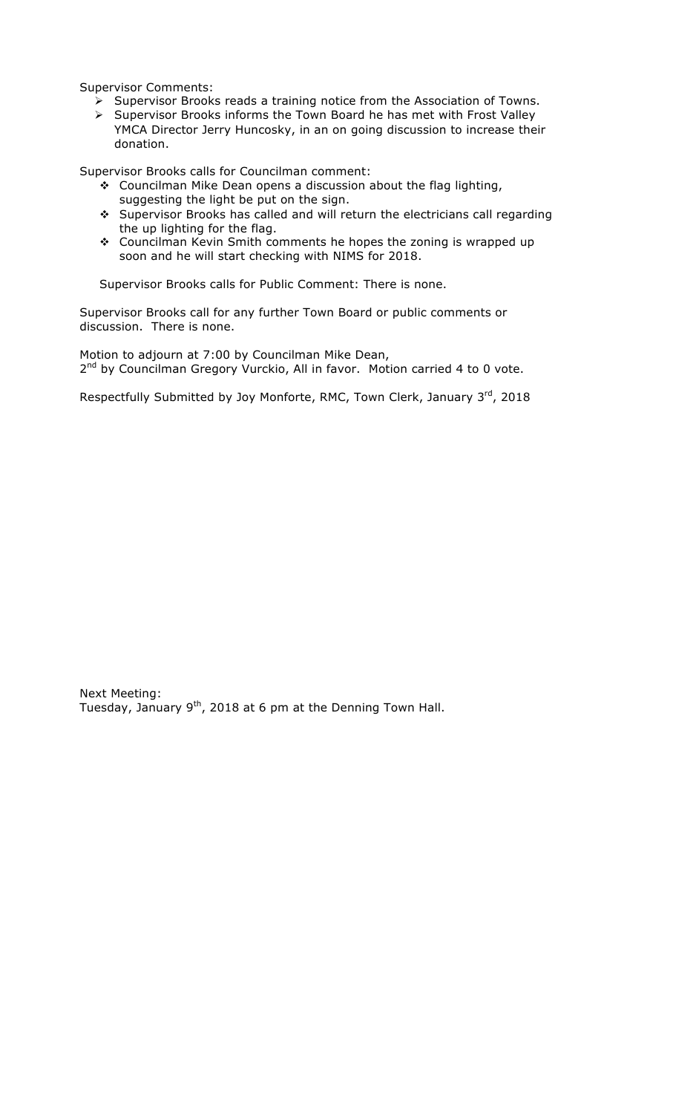Supervisor Comments:

- $\triangleright$  Supervisor Brooks reads a training notice from the Association of Towns.  $\triangleright$  Supervisor Brooks informs the Town Board he has met with Frost Valley
- YMCA Director Jerry Huncosky, in an on going discussion to increase their donation.

Supervisor Brooks calls for Councilman comment:

- $\div$  Councilman Mike Dean opens a discussion about the flag lighting, suggesting the light be put on the sign.
- # Supervisor Brooks has called and will return the electricians call regarding the up lighting for the flag.
- \* Councilman Kevin Smith comments he hopes the zoning is wrapped up soon and he will start checking with NIMS for 2018.

Supervisor Brooks calls for Public Comment: There is none.

Supervisor Brooks call for any further Town Board or public comments or discussion. There is none.

Motion to adjourn at 7:00 by Councilman Mike Dean, 2<sup>nd</sup> by Councilman Gregory Vurckio, All in favor. Motion carried 4 to 0 vote.

Respectfully Submitted by Joy Monforte, RMC, Town Clerk, January 3rd, 2018

Next Meeting: Tuesday, January 9<sup>th</sup>, 2018 at 6 pm at the Denning Town Hall.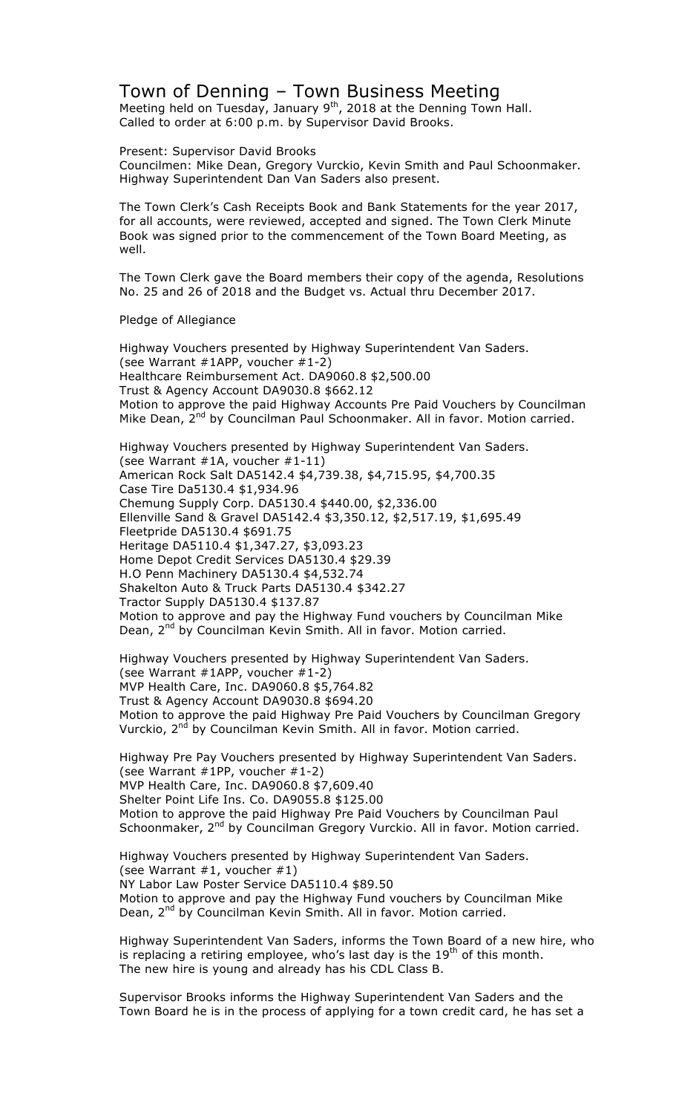## Town of Denning – Town Business Meeting

Meeting held on Tuesday, January  $9<sup>th</sup>$ , 2018 at the Denning Town Hall. Called to order at 6:00 p.m. by Supervisor David Brooks.

Present: Supervisor David Brooks

Councilmen: Mike Dean, Gregory Vurckio, Kevin Smith and Paul Schoonmaker. Highway Superintendent Dan Van Saders also present.

The Town Clerk's Cash Receipts Book and Bank Statements for the year 2017, for all accounts, were reviewed, accepted and signed. The Town Clerk Minute Book was signed prior to the commencement of the Town Board Meeting, as well.

The Town Clerk gave the Board members their copy of the agenda, Resolutions No. 25 and 26 of 2018 and the Budget vs. Actual thru December 2017.

Pledge of Allegiance

Highway Vouchers presented by Highway Superintendent Van Saders. (see Warrant  $#1APP$ , voucher  $#1-2$ ) Healthcare Reimbursement Act. DA9060.8 \$2,500.00 Trust & Agency Account DA9030.8 \$662.12 Motion to approve the paid Highway Accounts Pre Paid Vouchers by Councilman Mike Dean, 2<sup>nd</sup> by Councilman Paul Schoonmaker. All in favor. Motion carried.

Highway Vouchers presented by Highway Superintendent Van Saders. (see Warrant #1A, voucher #1-11) American Rock Salt DA5142.4 \$4,739.38, \$4,715.95, \$4,700.35 Case Tire Da5130.4 \$1,934.96 Chemung Supply Corp. DA5130.4 \$440.00, \$2,336.00 Ellenville Sand & Gravel DA5142.4 \$3,350.12, \$2,517.19, \$1,695.49 Fleetpride DA5130.4 \$691.75 Heritage DA5110.4 \$1,347.27, \$3,093.23 Home Depot Credit Services DA5130.4 \$29.39 H.O Penn Machinery DA5130.4 \$4,532.74 Shakelton Auto & Truck Parts DA5130.4 \$342.27 Tractor Supply DA5130.4 \$137.87 Motion to approve and pay the Highway Fund vouchers by Councilman Mike Dean, 2<sup>nd</sup> by Councilman Kevin Smith. All in favor. Motion carried.

Highway Vouchers presented by Highway Superintendent Van Saders. (see Warrant #1APP, voucher #1-2) MVP Health Care, Inc. DA9060.8 \$5,764.82 Trust & Agency Account DA9030.8 \$694.20 Motion to approve the paid Highway Pre Paid Vouchers by Councilman Gregory Vurckio, 2<sup>nd</sup> by Councilman Kevin Smith. All in favor. Motion carried.

Highway Pre Pay Vouchers presented by Highway Superintendent Van Saders. (see Warrant #1PP, voucher #1-2) MVP Health Care, Inc. DA9060.8 \$7,609.40 Shelter Point Life Ins. Co. DA9055.8 \$125.00 Motion to approve the paid Highway Pre Paid Vouchers by Councilman Paul Schoonmaker, 2<sup>nd</sup> by Councilman Gregory Vurckio. All in favor. Motion carried.

Highway Vouchers presented by Highway Superintendent Van Saders. (see Warrant  $#1$ , voucher  $#1$ ) NY Labor Law Poster Service DA5110.4 \$89.50 Motion to approve and pay the Highway Fund vouchers by Councilman Mike Dean, 2<sup>nd</sup> by Councilman Kevin Smith. All in favor. Motion carried.

Highway Superintendent Van Saders, informs the Town Board of a new hire, who is replacing a retiring employee, who's last day is the  $19<sup>th</sup>$  of this month. The new hire is young and already has his CDL Class B.

Supervisor Brooks informs the Highway Superintendent Van Saders and the Town Board he is in the process of applying for a town credit card, he has set a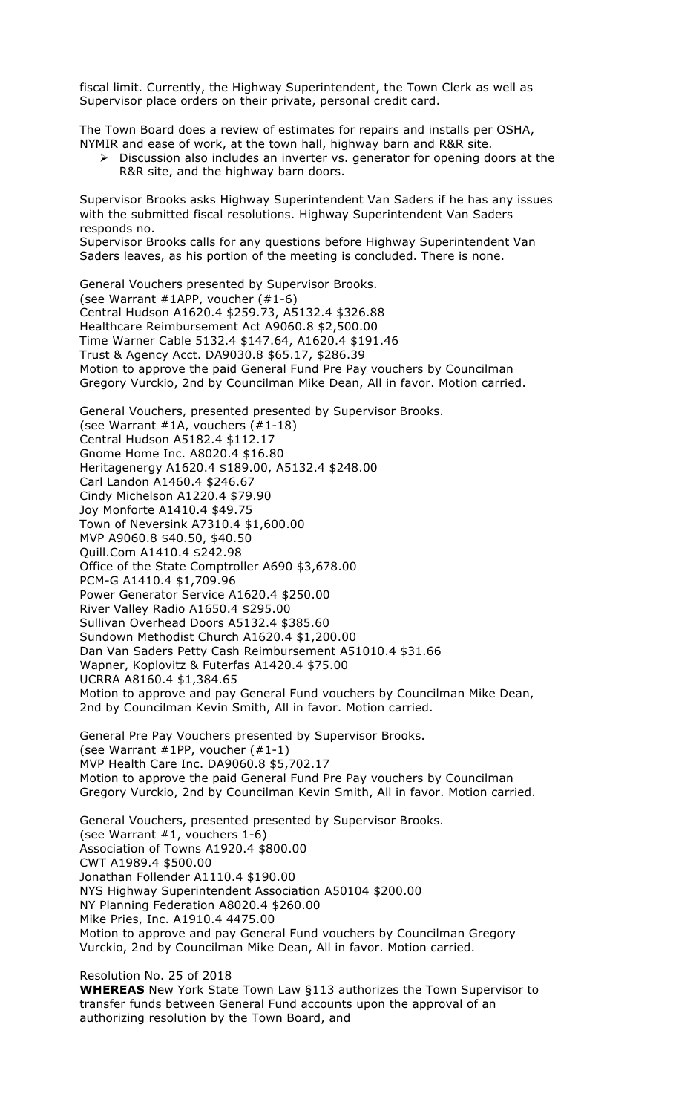fiscal limit. Currently, the Highway Superintendent, the Town Clerk as well as Supervisor place orders on their private, personal credit card.

The Town Board does a review of estimates for repairs and installs per OSHA, NYMIR and ease of work, at the town hall, highway barn and R&R site.

 $\triangleright$  Discussion also includes an inverter vs. generator for opening doors at the R&R site, and the highway barn doors.

Supervisor Brooks asks Highway Superintendent Van Saders if he has any issues with the submitted fiscal resolutions. Highway Superintendent Van Saders responds no.

Supervisor Brooks calls for any questions before Highway Superintendent Van Saders leaves, as his portion of the meeting is concluded. There is none.

General Vouchers presented by Supervisor Brooks. (see Warrant #1APP, voucher (#1-6) Central Hudson A1620.4 \$259.73, A5132.4 \$326.88 Healthcare Reimbursement Act A9060.8 \$2,500.00 Time Warner Cable 5132.4 \$147.64, A1620.4 \$191.46 Trust & Agency Acct. DA9030.8 \$65.17, \$286.39 Motion to approve the paid General Fund Pre Pay vouchers by Councilman Gregory Vurckio, 2nd by Councilman Mike Dean, All in favor. Motion carried.

General Vouchers, presented presented by Supervisor Brooks. (see Warrant #1A, vouchers (#1-18) Central Hudson A5182.4 \$112.17 Gnome Home Inc. A8020.4 \$16.80 Heritagenergy A1620.4 \$189.00, A5132.4 \$248.00 Carl Landon A1460.4 \$246.67 Cindy Michelson A1220.4 \$79.90 Joy Monforte A1410.4 \$49.75 Town of Neversink A7310.4 \$1,600.00 MVP A9060.8 \$40.50, \$40.50 Quill.Com A1410.4 \$242.98 Office of the State Comptroller A690 \$3,678.00 PCM-G A1410.4 \$1,709.96 Power Generator Service A1620.4 \$250.00 River Valley Radio A1650.4 \$295.00 Sullivan Overhead Doors A5132.4 \$385.60 Sundown Methodist Church A1620.4 \$1,200.00 Dan Van Saders Petty Cash Reimbursement A51010.4 \$31.66 Wapner, Koplovitz & Futerfas A1420.4 \$75.00 UCRRA A8160.4 \$1,384.65 Motion to approve and pay General Fund vouchers by Councilman Mike Dean, 2nd by Councilman Kevin Smith, All in favor. Motion carried.

General Pre Pay Vouchers presented by Supervisor Brooks. (see Warrant #1PP, voucher (#1-1) MVP Health Care Inc. DA9060.8 \$5,702.17 Motion to approve the paid General Fund Pre Pay vouchers by Councilman Gregory Vurckio, 2nd by Councilman Kevin Smith, All in favor. Motion carried.

General Vouchers, presented presented by Supervisor Brooks. (see Warrant #1, vouchers 1-6) Association of Towns A1920.4 \$800.00 CWT A1989.4 \$500.00 Jonathan Follender A1110.4 \$190.00 NYS Highway Superintendent Association A50104 \$200.00 NY Planning Federation A8020.4 \$260.00 Mike Pries, Inc. A1910.4 4475.00 Motion to approve and pay General Fund vouchers by Councilman Gregory Vurckio, 2nd by Councilman Mike Dean, All in favor. Motion carried.

Resolution No. 25 of 2018 **WHEREAS** New York State Town Law §113 authorizes the Town Supervisor to transfer funds between General Fund accounts upon the approval of an authorizing resolution by the Town Board, and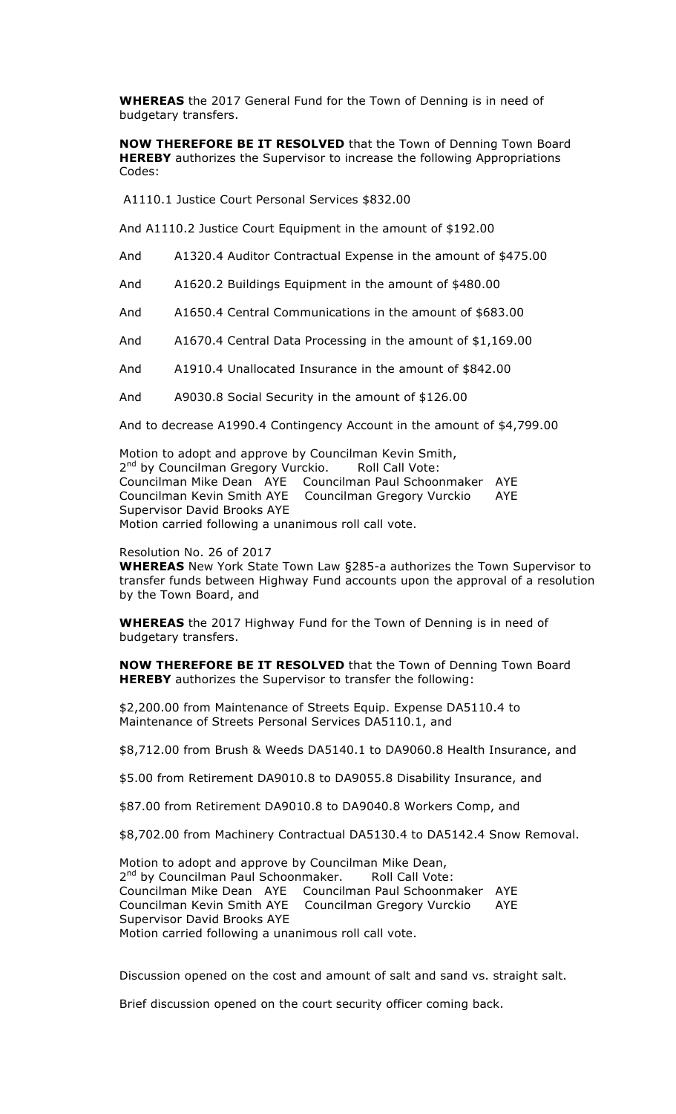**WHEREAS** the 2017 General Fund for the Town of Denning is in need of budgetary transfers.

**NOW THEREFORE BE IT RESOLVED** that the Town of Denning Town Board **HEREBY** authorizes the Supervisor to increase the following Appropriations Codes:

A1110.1 Justice Court Personal Services \$832.00

And A1110.2 Justice Court Equipment in the amount of \$192.00

- And A1320.4 Auditor Contractual Expense in the amount of \$475.00
- And A1620.2 Buildings Equipment in the amount of \$480.00
- And A1650.4 Central Communications in the amount of \$683.00
- And A1670.4 Central Data Processing in the amount of \$1,169.00
- And A1910.4 Unallocated Insurance in the amount of \$842.00

And A9030.8 Social Security in the amount of \$126.00

And to decrease A1990.4 Contingency Account in the amount of \$4,799.00

Motion to adopt and approve by Councilman Kevin Smith, 2<sup>nd</sup> by Councilman Gregory Vurckio. Roll Call Vote: Councilman Mike Dean AYE Councilman Paul Schoonmaker AYE Councilman Kevin Smith AYE Councilman Gregory Vurckio AYE Supervisor David Brooks AYE Motion carried following a unanimous roll call vote.

Resolution No. 26 of 2017

**WHEREAS** New York State Town Law §285-a authorizes the Town Supervisor to transfer funds between Highway Fund accounts upon the approval of a resolution by the Town Board, and

**WHEREAS** the 2017 Highway Fund for the Town of Denning is in need of budgetary transfers.

**NOW THEREFORE BE IT RESOLVED** that the Town of Denning Town Board **HEREBY** authorizes the Supervisor to transfer the following:

\$2,200.00 from Maintenance of Streets Equip. Expense DA5110.4 to Maintenance of Streets Personal Services DA5110.1, and

\$8,712.00 from Brush & Weeds DA5140.1 to DA9060.8 Health Insurance, and

\$5.00 from Retirement DA9010.8 to DA9055.8 Disability Insurance, and

\$87.00 from Retirement DA9010.8 to DA9040.8 Workers Comp, and

\$8,702.00 from Machinery Contractual DA5130.4 to DA5142.4 Snow Removal.

Motion to adopt and approve by Councilman Mike Dean, 2<sup>nd</sup> by Councilman Paul Schoonmaker. Roll Call Vote: Councilman Mike Dean AYE Councilman Paul Schoonmaker AYE Councilman Kevin Smith AYE Councilman Gregory Vurckio AYE Supervisor David Brooks AYE Motion carried following a unanimous roll call vote.

Discussion opened on the cost and amount of salt and sand vs. straight salt.

Brief discussion opened on the court security officer coming back.